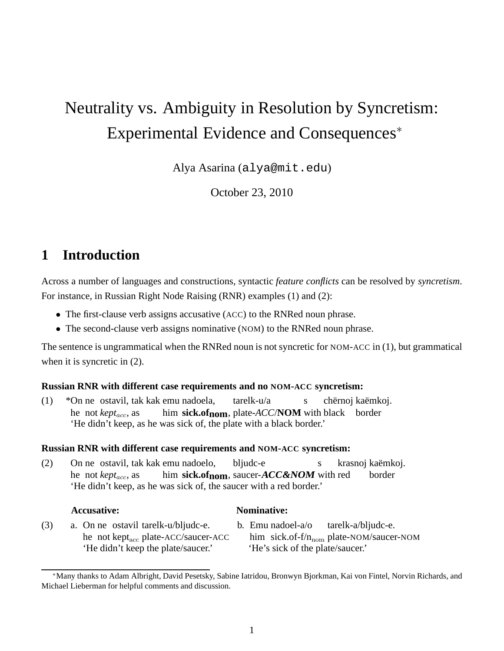# Neutrality vs. Ambiguity in Resolution by Syncretism: Experimental Evidence and Consequences<sup>∗</sup>

Alya Asarina (alya@mit.edu)

October 23, 2010

# **1 Introduction**

Across a number of languages and constructions, syntactic *feature conflicts* can be resolved by *syncretism*. For instance, in Russian Right Node Raising (RNR) examples (1) and (2):

- The first-clause verb assigns accusative (ACC) to the RNRed noun phrase.
- The second-clause verb assigns nominative (NOM) to the RNRed noun phrase.

The sentence is ungrammatical when the RNRed noun is not syncretic for NOM-ACC in (1), but grammatical when it is syncretic in  $(2)$ .

#### **Russian RNR with different case requirements and no NOM-ACC syncretism:**

(1) \*On ne ostavil, tak kak emu nadoela, he not *kept<sub>acc</sub>*, as him sick.of<sub>nom</sub>, plate-*ACC*/**NOM** with black border tarelk-u/a s chërnoj kaëmkoj. 'He didn't keep, as he was sick of, the plate with a black border.'

#### **Russian RNR with different case requirements and NOM-ACC syncretism:**

(2) On ne ostavil, tak kak emu nadoelo, he not *kept<sub>acc</sub>*, as him **sick.ofnom**, saucer-**ACC&NOM** with red bljudc-e s krasnoj kaëmkoj. border 'He didn't keep, as he was sick of, the saucer with a red border.'

#### **Accusative: Nominative:**

- (3) a. On ne ostavil tarelk-u/bljudc-e. he not kept<sub>acc</sub> plate-ACC/saucer-ACC 'He didn't keep the plate/saucer.' 'He's sick of the plate/saucer.'
- b. Emu nadoel-a/o him sick.of-f/n<sub>nom</sub> plate-NOM/saucer-NOM tarelk-a/bljudc-e.

<sup>∗</sup>Many thanks to Adam Albright, David Pesetsky, Sabine Iatridou, Bronwyn Bjorkman, Kai von Fintel, Norvin Richards, and Michael Lieberman for helpful comments and discussion.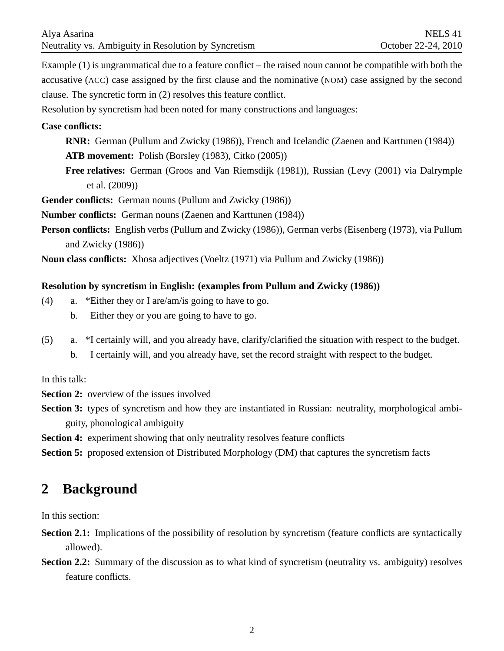Example (1) is ungrammatical due to a feature conflict – the raised noun cannot be compatible with both the accusative (ACC) case assigned by the first clause and the nominative (NOM) case assigned by the second clause. The syncretic form in (2) resolves this feature conflict.

Resolution by syncretism had been noted for many constructions and languages:

#### **Case conflicts:**

- **RNR:** German (Pullum and Zwicky (1986)), French and Icelandic (Zaenen and Karttunen (1984))
- **ATB movement:** Polish (Borsley (1983), Citko (2005))
- **Free relatives:** German (Groos and Van Riemsdijk (1981)), Russian (Levy (2001) via Dalrymple et al. (2009))

**Gender conflicts:** German nouns (Pullum and Zwicky (1986))

**Number conflicts:** German nouns (Zaenen and Karttunen (1984))

**Person conflicts:** English verbs (Pullum and Zwicky (1986)), German verbs (Eisenberg (1973), via Pullum and Zwicky (1986))

**Noun class conflicts:** Xhosa adjectives (Voeltz (1971) via Pullum and Zwicky (1986))

#### **Resolution by syncretism in English: (examples from Pullum and Zwicky (1986))**

- (4) a. \*Either they or I are/am/is going to have to go.
	- b. Either they or you are going to have to go.
- (5) a. \*I certainly will, and you already have, clarify/clarified the situation with respect to the budget.
	- b. I certainly will, and you already have, set the record straight with respect to the budget.

In this talk:

**Section 2:** overview of the issues involved

**Section 3:** types of syncretism and how they are instantiated in Russian: neutrality, morphological ambiguity, phonological ambiguity

**Section 4:** experiment showing that only neutrality resolves feature conflicts

**Section 5:** proposed extension of Distributed Morphology (DM) that captures the syncretism facts

# **2 Background**

In this section:

- **Section 2.1:** Implications of the possibility of resolution by syncretism (feature conflicts are syntactically allowed).
- **Section 2.2:** Summary of the discussion as to what kind of syncretism (neutrality vs. ambiguity) resolves feature conflicts.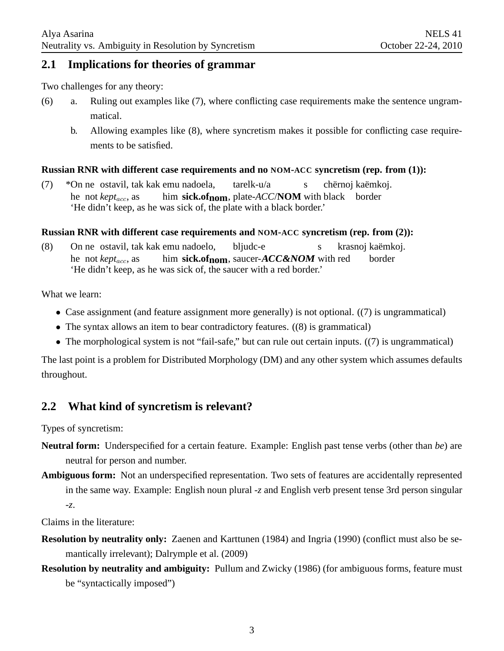### **2.1 Implications for theories of grammar**

Two challenges for any theory:

- (6) a. Ruling out examples like (7), where conflicting case requirements make the sentence ungrammatical.
	- b. Allowing examples like (8), where syncretism makes it possible for conflicting case requirements to be satisfied.

#### **Russian RNR with different case requirements and no NOM-ACC syncretism (rep. from (1)):**

(7) \*On ne ostavil, tak kak emu nadoela, he not *kept<sub>acc</sub>*, as him sick.of<sub>nom</sub>, plate-*ACC*/**NOM** with black border tarelk-u/a s chërnoj kaëmkoj. 'He didn't keep, as he was sick of, the plate with a black border.'

#### **Russian RNR with different case requirements and NOM-ACC syncretism (rep. from (2)):**

(8) On ne ostavil, tak kak emu nadoelo, he not *kept<sub>acc</sub>*, as him **sick.ofnom**, saucer-**ACC&NOM** with red bliudc-e s krasnoj kaëmkoj. border 'He didn't keep, as he was sick of, the saucer with a red border.'

What we learn:

- Case assignment (and feature assignment more generally) is not optional. ((7) is ungrammatical)
- The syntax allows an item to bear contradictory features. ((8) is grammatical)
- The morphological system is not "fail-safe," but can rule out certain inputs. ((7) is ungrammatical)

The last point is a problem for Distributed Morphology (DM) and any other system which assumes defaults throughout.

# **2.2 What kind of syncretism is relevant?**

Types of syncretism:

- **Neutral form:** Underspecified for a certain feature. Example: English past tense verbs (other than *be*) are neutral for person and number.
- **Ambiguous form:** Not an underspecified representation. Two sets of features are accidentally represented in the same way. Example: English noun plural -*z* and English verb present tense 3rd person singular -*z*.

Claims in the literature:

- **Resolution by neutrality only:** Zaenen and Karttunen (1984) and Ingria (1990) (conflict must also be semantically irrelevant); Dalrymple et al. (2009)
- **Resolution by neutrality and ambiguity:** Pullum and Zwicky (1986) (for ambiguous forms, feature must be "syntactically imposed")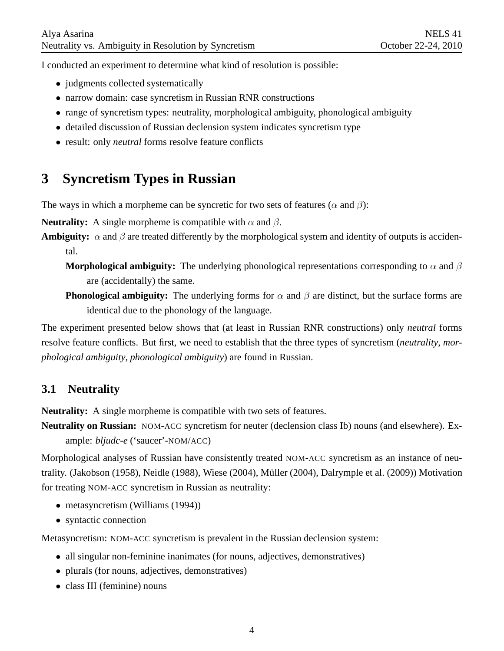I conducted an experiment to determine what kind of resolution is possible:

- judgments collected systematically
- narrow domain: case syncretism in Russian RNR constructions
- range of syncretism types: neutrality, morphological ambiguity, phonological ambiguity
- detailed discussion of Russian declension system indicates syncretism type
- result: only *neutral* forms resolve feature conflicts

# **3 Syncretism Types in Russian**

The ways in which a morpheme can be syncretic for two sets of features ( $\alpha$  and  $\beta$ ):

**Neutrality:** A single morpheme is compatible with  $\alpha$  and  $\beta$ .

**Ambiguity:**  $\alpha$  and  $\beta$  are treated differently by the morphological system and identity of outputs is accidental.

**Morphological ambiguity:** The underlying phonological representations corresponding to  $\alpha$  and  $\beta$ are (accidentally) the same.

**Phonological ambiguity:** The underlying forms for  $\alpha$  and  $\beta$  are distinct, but the surface forms are identical due to the phonology of the language.

The experiment presented below shows that (at least in Russian RNR constructions) only *neutral* forms resolve feature conflicts. But first, we need to establish that the three types of syncretism (*neutrality*, *morphological ambiguity*, *phonological ambiguity*) are found in Russian.

# **3.1 Neutrality**

**Neutrality:** A single morpheme is compatible with two sets of features.

**Neutrality on Russian:** NOM-ACC syncretism for neuter (declension class Ib) nouns (and elsewhere). Example: *bljudc-e* ('saucer'-NOM/ACC)

Morphological analyses of Russian have consistently treated NOM-ACC syncretism as an instance of neutrality. (Jakobson (1958), Neidle (1988), Wiese (2004), Müller (2004), Dalrymple et al. (2009)) Motivation for treating NOM-ACC syncretism in Russian as neutrality:

- metasyncretism (Williams (1994))
- syntactic connection

Metasyncretism: NOM-ACC syncretism is prevalent in the Russian declension system:

- all singular non-feminine inanimates (for nouns, adjectives, demonstratives)
- plurals (for nouns, adjectives, demonstratives)
- class III (feminine) nouns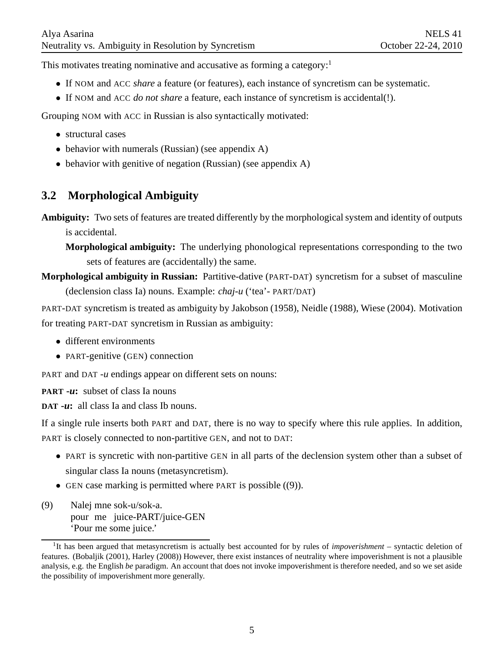This motivates treating nominative and accusative as forming a category:<sup>1</sup>

- If NOM and ACC *share* a feature (or features), each instance of syncretism can be systematic.
- If NOM and ACC *do not share* a feature, each instance of syncretism is accidental(!).

Grouping NOM with ACC in Russian is also syntactically motivated:

- structural cases
- behavior with numerals (Russian) (see appendix A)
- behavior with genitive of negation (Russian) (see appendix A)

# **3.2 Morphological Ambiguity**

**Ambiguity:** Two sets of features are treated differently by the morphological system and identity of outputs is accidental.

**Morphological ambiguity:** The underlying phonological representations corresponding to the two sets of features are (accidentally) the same.

**Morphological ambiguity in Russian:** Partitive-dative (PART-DAT) syncretism for a subset of masculine (declension class Ia) nouns. Example: *chaj-u* ('tea'- PART/DAT)

PART-DAT syncretism is treated as ambiguity by Jakobson (1958), Neidle (1988), Wiese (2004). Motivation for treating PART-DAT syncretism in Russian as ambiguity:

- different environments
- PART-genitive (GEN) connection

PART and DAT *-u* endings appear on different sets on nouns:

**PART -***u***:** subset of class Ia nouns

**DAT -***u***:** all class Ia and class Ib nouns.

If a single rule inserts both PART and DAT, there is no way to specify where this rule applies. In addition, PART is closely connected to non-partitive GEN, and not to DAT:

- PART is syncretic with non-partitive GEN in all parts of the declension system other than a subset of singular class Ia nouns (metasyncretism).
- GEN case marking is permitted where PART is possible ((9)).
- (9) Nalej mne sok-u/sok-a. pour me juice-PART/juice-GEN 'Pour me some juice.'

<sup>&</sup>lt;sup>1</sup>It has been argued that metasyncretism is actually best accounted for by rules of *impoverishment* – syntactic deletion of features. (Bobaljik (2001), Harley (2008)) However, there exist instances of neutrality where impoverishment is not a plausible analysis, e.g. the English *be* paradigm. An account that does not invoke impoverishment is therefore needed, and so we set aside the possibility of impoverishment more generally.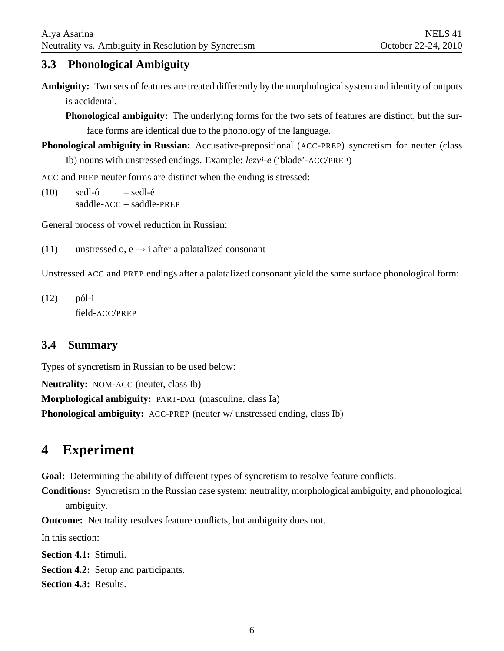# **3.3 Phonological Ambiguity**

**Ambiguity:** Two sets of features are treated differently by the morphological system and identity of outputs is accidental.

**Phonological ambiguity:** The underlying forms for the two sets of features are distinct, but the surface forms are identical due to the phonology of the language.

**Phonological ambiguity in Russian:** Accusative-prepositional (ACC-PREP) syncretism for neuter (class Ib) nouns with unstressed endings. Example: *lezvi-e* ('blade'-ACC/PREP)

ACC and PREP neuter forms are distinct when the ending is stressed:

 $(10)$  sedl- $6$ saddle-ACC – saddle-PREP – sedl-é

General process of vowel reduction in Russian:

(11) unstressed o, e  $\rightarrow$  i after a palatalized consonant

Unstressed ACC and PREP endings after a palatalized consonant yield the same surface phonological form:

 $(12)$  pól-i field-ACC/PREP

# **3.4 Summary**

Types of syncretism in Russian to be used below:

**Neutrality:** NOM-ACC (neuter, class Ib)

**Morphological ambiguity:** PART-DAT (masculine, class Ia)

**Phonological ambiguity:** ACC-PREP (neuter w/ unstressed ending, class Ib)

# **4 Experiment**

**Goal:** Determining the ability of different types of syncretism to resolve feature conflicts.

**Conditions:** Syncretism in the Russian case system: neutrality, morphological ambiguity, and phonological ambiguity.

**Outcome:** Neutrality resolves feature conflicts, but ambiguity does not.

In this section:

**Section 4.1:** Stimuli.

**Section 4.2:** Setup and participants.

**Section 4.3:** Results.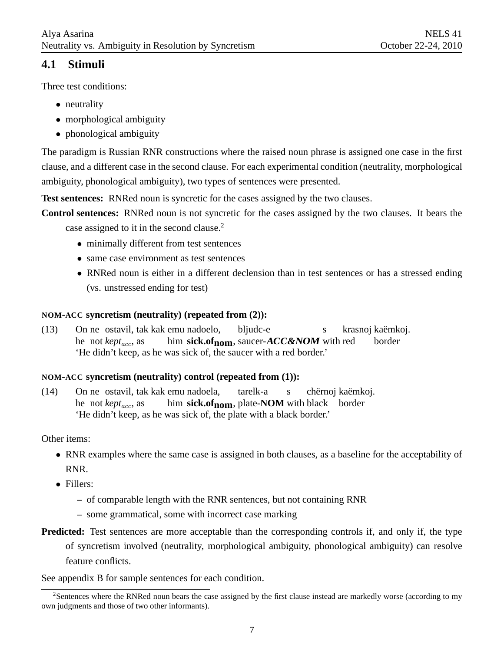# **4.1 Stimuli**

Three test conditions:

- neutrality
- morphological ambiguity
- phonological ambiguity

The paradigm is Russian RNR constructions where the raised noun phrase is assigned one case in the first clause, and a different case in the second clause. For each experimental condition (neutrality, morphological ambiguity, phonological ambiguity), two types of sentences were presented.

**Test sentences:** RNRed noun is syncretic for the cases assigned by the two clauses.

**Control sentences:** RNRed noun is not syncretic for the cases assigned by the two clauses. It bears the case assigned to it in the second clause.<sup>2</sup>

- minimally different from test sentences
- same case environment as test sentences
- RNRed noun is either in a different declension than in test sentences or has a stressed ending (vs. unstressed ending for test)

### **NOM-ACC syncretism (neutrality) (repeated from (2)):**

 $(13)$ he not *kept<sub>acc</sub>*, as ne ostavil, tak kak emu nadoelo, him **sick.ofnom**, saucer-**ACC&NOM** with red bljudc-e s krasnoj kaëmkoj. border 'He didn't keep, as he was sick of, the saucer with a red border.'

#### **NOM-ACC syncretism (neutrality) control (repeated from (1)):**

 $(14)$ he not *kept<sub>acc</sub>*, as ne ostavil, tak kak emu nadoela, him sick.of<sub>nom</sub>, plate-NOM with black border tarelk-a s chërnoj kaëmkoj. 'He didn't keep, as he was sick of, the plate with a black border.'

Other items:

- RNR examples where the same case is assigned in both clauses, as a baseline for the acceptability of RNR.
- Fillers:
	- **–** of comparable length with the RNR sentences, but not containing RNR
	- **–** some grammatical, some with incorrect case marking
- **Predicted:** Test sentences are more acceptable than the corresponding controls if, and only if, the type of syncretism involved (neutrality, morphological ambiguity, phonological ambiguity) can resolve feature conflicts.

See appendix B for sample sentences for each condition.

<sup>&</sup>lt;sup>2</sup>Sentences where the RNRed noun bears the case assigned by the first clause instead are markedly worse (according to my own judgments and those of two other informants).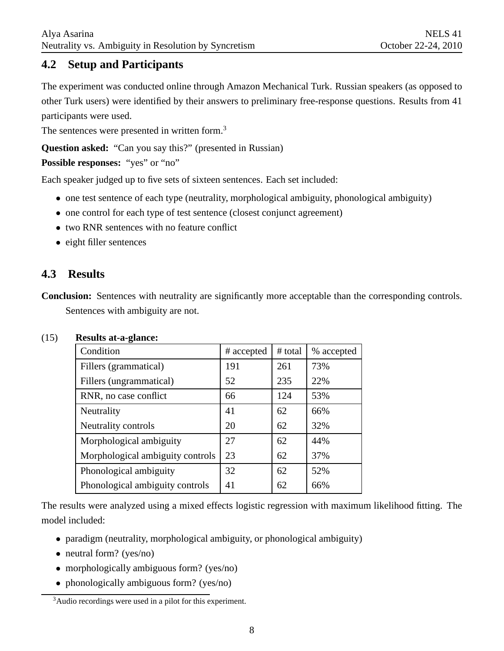# **4.2 Setup and Participants**

The experiment was conducted online through Amazon Mechanical Turk. Russian speakers (as opposed to other Turk users) were identified by their answers to preliminary free-response questions. Results from 41 participants were used.

The sentences were presented in written form.<sup>3</sup>

**Question asked:** "Can you say this?" (presented in Russian)

Possible responses: "yes" or "no"

Each speaker judged up to five sets of sixteen sentences. Each set included:

- one test sentence of each type (neutrality, morphological ambiguity, phonological ambiguity)
- one control for each type of test sentence (closest conjunct agreement)
- two RNR sentences with no feature conflict
- eight filler sentences

# **4.3 Results**

**Conclusion:** Sentences with neutrality are significantly more acceptable than the corresponding controls. Sentences with ambiguity are not.

| o<br>Condition                   | # accepted | # total | % accepted |
|----------------------------------|------------|---------|------------|
| Fillers (grammatical)            | 191        | 261     | 73%        |
| Fillers (ungrammatical)          | 52         | 235     | 22%        |
| RNR, no case conflict            | 66         | 124     | 53%        |
| Neutrality                       | 41         | 62      | 66%        |
| Neutrality controls              | 20         | 62      | 32%        |
| Morphological ambiguity          | 27         | 62      | 44%        |
| Morphological ambiguity controls | 23         | 62      | 37%        |
| Phonological ambiguity           | 32         | 62      | 52%        |
| Phonological ambiguity controls  | 41         | 62      | 66%        |

#### (15) **Results at-a-glance:**

The results were analyzed using a mixed effects logistic regression with maximum likelihood fitting. The model included:

- paradigm (neutrality, morphological ambiguity, or phonological ambiguity)
- neutral form? (yes/no)
- morphologically ambiguous form? (yes/no)
- phonologically ambiguous form? (yes/no)

<sup>3</sup>Audio recordings were used in a pilot for this experiment.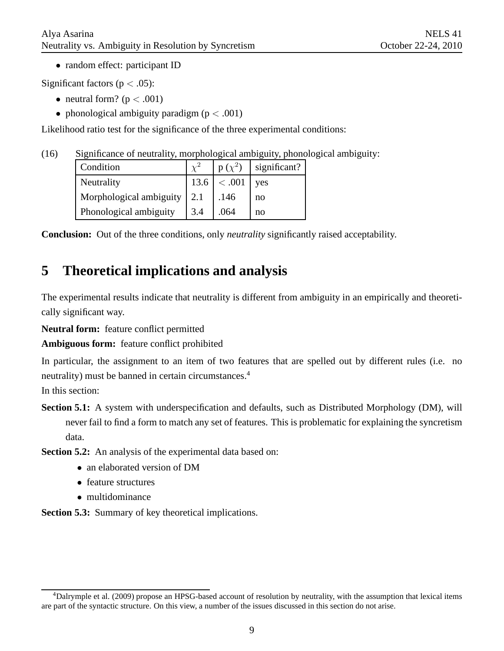• random effect: participant ID

Significant factors ( $p < .05$ ):

- neutral form? ( $p < .001$ )
- phonological ambiguity paradigm ( $p < .001$ )

Likelihood ratio test for the significance of the three experimental conditions:

(16) Significance of neutrality, morphological ambiguity, phonological ambiguity:

| Condition                     |     | $p(\chi^2)$  | significant? |
|-------------------------------|-----|--------------|--------------|
| Neutrality                    |     | 13.6  < .001 | yes          |
| Morphological ambiguity   2.1 |     | .146         | no           |
| Phonological ambiguity        | 3.4 | .064         | no           |

**Conclusion:** Out of the three conditions, only *neutrality* significantly raised acceptability.

# **5 Theoretical implications and analysis**

The experimental results indicate that neutrality is different from ambiguity in an empirically and theoretically significant way.

**Neutral form:** feature conflict permitted

**Ambiguous form:** feature conflict prohibited

In particular, the assignment to an item of two features that are spelled out by different rules (i.e. no neutrality) must be banned in certain circumstances.<sup>4</sup>

In this section:

**Section 5.1:** A system with underspecification and defaults, such as Distributed Morphology (DM), will never fail to find a form to match any set of features. This is problematic for explaining the syncretism data.

**Section 5.2:** An analysis of the experimental data based on:

- an elaborated version of DM
- feature structures
- multidominance

**Section 5.3:** Summary of key theoretical implications.

 $4$ Dalrymple et al. (2009) propose an HPSG-based account of resolution by neutrality, with the assumption that lexical items are part of the syntactic structure. On this view, a number of the issues discussed in this section do not arise.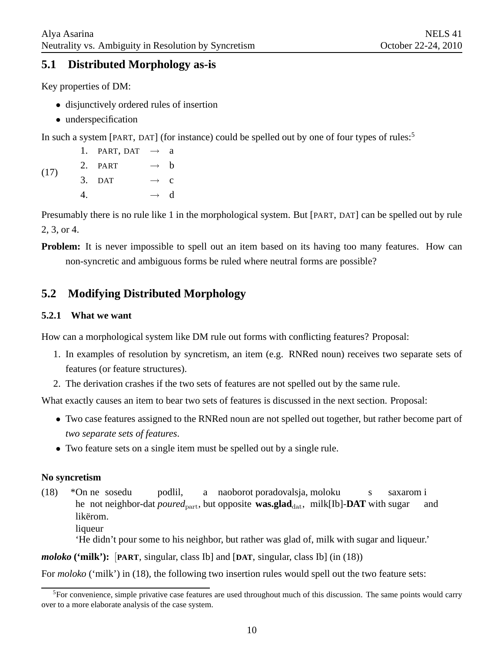# **5.1 Distributed Morphology as-is**

Key properties of DM:

- disjunctively ordered rules of insertion
- underspecification

In such a system [PART, DAT] (for instance) could be spelled out by one of four types of rules:<sup>5</sup>

(17) 1. PART, DAT  $\rightarrow$  a 2. PART  $\rightarrow$  b 3. DAT  $\rightarrow$  c 4.  $\rightarrow$  d

Presumably there is no rule like 1 in the morphological system. But [PART, DAT] can be spelled out by rule 2, 3, or 4.

**Problem:** It is never impossible to spell out an item based on its having too many features. How can non-syncretic and ambiguous forms be ruled where neutral forms are possible?

# **5.2 Modifying Distributed Morphology**

#### **5.2.1 What we want**

How can a morphological system like DM rule out forms with conflicting features? Proposal:

- 1. In examples of resolution by syncretism, an item (e.g. RNRed noun) receives two separate sets of features (or feature structures).
- 2. The derivation crashes if the two sets of features are not spelled out by the same rule.

What exactly causes an item to bear two sets of features is discussed in the next section. Proposal:

- Two case features assigned to the RNRed noun are not spelled out together, but rather become part of *two separate sets of features*.
- Two feature sets on a single item must be spelled out by a single rule.

#### **No syncretism**

(18) \*On ne sosedu he not neighbor-dat *poured*<sub>part</sub>, but opposite was.glad<sub>dat</sub>, milk[Ib]-DAT with sugar podlil, a naoborot poradovalsja, moloku s saxarom i and likërom.

liqueur

'He didn't pour some to his neighbor, but rather was glad of, milk with sugar and liqueur.'

*moloko* **('milk'):** [**PART**, singular, class Ib] and [**DAT**, singular, class Ib] (in (18))

For *moloko* ('milk') in (18), the following two insertion rules would spell out the two feature sets:

 ${}^{5}$ For convenience, simple privative case features are used throughout much of this discussion. The same points would carry over to a more elaborate analysis of the case system.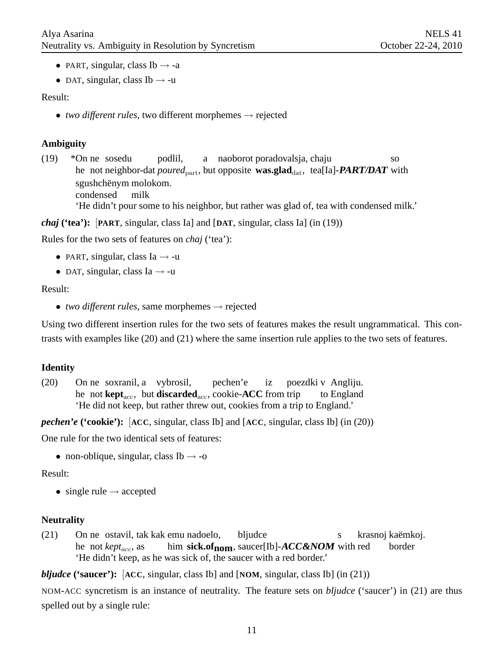- PART, singular, class Ib  $\rightarrow$  -a
- DAT, singular, class Ib  $\rightarrow$  -u

Result:

• *two different rules*, two different morphemes  $\rightarrow$  rejected

#### **Ambiguity**

 $(19)$ he not neighbor-dat *poured*<sub>part</sub>, but opposite **was.glad**<sub>dat</sub>, tea[Ia]-**PART/DAT** with ne sosedu podlil, a naoborot poradovalsja, chaju so sgushchënym molokom. condensed milk 'He didn't pour some to his neighbor, but rather was glad of, tea with condensed milk.'

*chaj* **('tea'):** [**PART**, singular, class Ia] and [**DAT**, singular, class Ia] (in (19))

Rules for the two sets of features on *chaj* ('tea'):

- PART, singular, class Ia  $\rightarrow$  -u
- DAT, singular, class Ia  $\rightarrow$  -u

#### Result:

• *two different rules*, same morphemes  $\rightarrow$  rejected

Using two different insertion rules for the two sets of features makes the result ungrammatical. This contrasts with examples like (20) and (21) where the same insertion rule applies to the two sets of features.

#### **Identity**

 $(20)$ he not **kept**<sub>acc</sub>, but **discarded**<sub>acc</sub>, cookie-**ACC** from trip ne soxranil, a vybrosil, pechen'e iz poezdki v Angliju. to England 'He did not keep, but rather threw out, cookies from a trip to England.'

*pechen'e* **('cookie'):** [**ACC**, singular, class Ib] and [**ACC**, singular, class Ib] (in (20))

One rule for the two identical sets of features:

• non-oblique, singular, class Ib  $\rightarrow$  -0

Result:

• single rule  $\rightarrow$  accepted

#### **Neutrality**

 $(21)$ he not *kept<sub>acc</sub>*, as ne ostavil, tak kak emu nadoelo, him **sick.ofnom**, saucer[Ib]-**ACC&NOM** with red bljudce s krasnoj kaëmkoj. border 'He didn't keep, as he was sick of, the saucer with a red border.'

*bljudce* **('saucer'):** [**ACC**, singular, class Ib] and [**NOM**, singular, class Ib] (in (21))

NOM-ACC syncretism is an instance of neutrality. The feature sets on *bljudce* ('saucer') in (21) are thus spelled out by a single rule: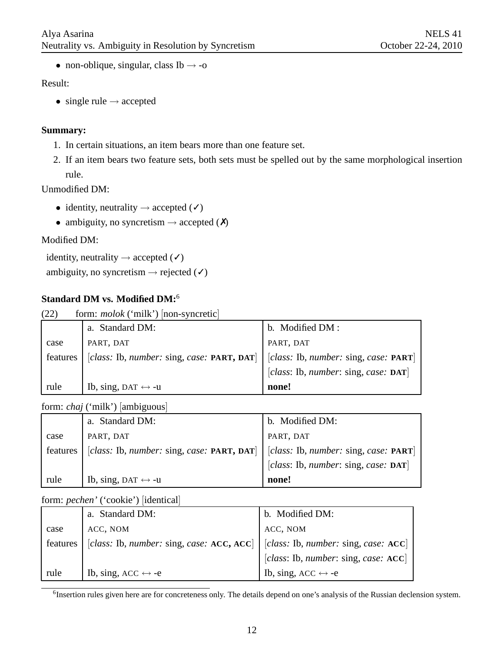• non-oblique, singular, class Ib  $\rightarrow$  -0

#### Result:

• single rule  $\rightarrow$  accepted

#### **Summary:**

- 1. In certain situations, an item bears more than one feature set.
- 2. If an item bears two feature sets, both sets must be spelled out by the same morphological insertion rule.

Unmodified DM:

- identity, neutrality  $\rightarrow$  accepted  $(\checkmark)$
- ambiguity, no syncretism  $\rightarrow$  accepted  $(X)$

#### Modified DM:

```
identity, neutrality \rightarrow accepted (\checkmark)ambiguity, no syncretism \rightarrow rejected (V)
```
### **Standard DM vs. Modified DM:**<sup>6</sup>

| form: <i>molok</i> ('milk') [non-syncretic]<br>(22) |                                            |                                       |  |
|-----------------------------------------------------|--------------------------------------------|---------------------------------------|--|
|                                                     | a. Standard DM:                            | b. Modified DM :                      |  |
| case                                                | PART, DAT                                  | PART, DAT                             |  |
| features                                            | [class: Ib, number: sing, case: PART, DAT] | [class: Ib, number: sing, case: PART] |  |
|                                                     |                                            | [class: Ib, number: sing, case: DAT]  |  |
| rule                                                | Ib, sing, DAT $\leftrightarrow$ -u         | none!                                 |  |

form: *chaj* ('milk') [ambiguous]

|          | a. Standard DM:                                    | b. Modified DM:                                |
|----------|----------------------------------------------------|------------------------------------------------|
| case     | PART, DAT                                          | PART, DAT                                      |
| features | [class: Ib, number: sing, case: <b>PART, DAT</b> ] | [class: Ib, number: sing, case: PART]          |
|          |                                                    | [class: Ib, number: sing, case: $\text{DAT}$ ] |
| rule     | Ib, sing, DAT $\leftrightarrow$ -u                 | none!                                          |

form: *pechen'* ('cookie') [identical]

|          | a. Standard DM:                           | b. Modified DM:                                |
|----------|-------------------------------------------|------------------------------------------------|
| case     | ACC, NOM                                  | ACC, NOM                                       |
| features | [class: Ib, number: sing, case: ACC, ACC] | [class: Ib, number: sing, case: $\text{ACC}$ ] |
|          |                                           | [class: Ib, number: sing, case: $\text{ACC}$ ] |
| rule     | Ib, sing, ACC $\leftrightarrow$ -e        | Ib, sing, ACC $\leftrightarrow$ -e             |

<sup>6</sup>Insertion rules given here are for concreteness only. The details depend on one's analysis of the Russian declension system.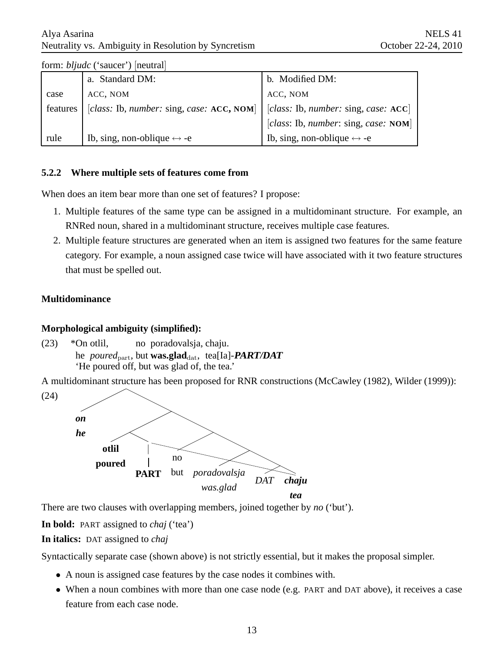#### Alya Asarina Neutrality vs. Ambiguity in Resolution by Syncretism

| $101111.$ $0010000$ $0000001$ $01100001$ |                                            |                                                |  |
|------------------------------------------|--------------------------------------------|------------------------------------------------|--|
|                                          | a. Standard DM:                            | b. Modified DM:                                |  |
| case                                     | ACC, NOM                                   | ACC, NOM                                       |  |
| features                                 | [class: Ib, number: sing, case: ACC, NOM]  | [class: Ib, number: sing, case: $\text{ACC}$ ] |  |
|                                          |                                            | [class: Ib, number: sing, case: NOM]           |  |
| rule                                     | Ib, sing, non-oblique $\leftrightarrow$ -e | Ib, sing, non-oblique $\leftrightarrow$ -e     |  |

form: *bljudc* ('saucer') [neutral]

#### **5.2.2 Where multiple sets of features come from**

When does an item bear more than one set of features? I propose:

- 1. Multiple features of the same type can be assigned in a multidominant structure. For example, an RNRed noun, shared in a multidominant structure, receives multiple case features.
- 2. Multiple feature structures are generated when an item is assigned two features for the same feature category. For example, a noun assigned case twice will have associated with it two feature structures that must be spelled out.

#### **Multidominance**

#### **Morphological ambiguity (simplified):**

 $(23)$ he poured<sub>part</sub>, but **was.glad**<sub>dat</sub>, tea[Ia]-**PART/DAT** \*On otlil, no poradovalsja, chaju. 'He poured off, but was glad of, the tea.'

A multidominant structure has been proposed for RNR constructions (McCawley (1982), Wilder (1999)):



There are two clauses with overlapping members, joined together by *no* ('but').

**In bold:** PART assigned to *chaj* ('tea')

**In italics:** DAT assigned to *chaj*

Syntactically separate case (shown above) is not strictly essential, but it makes the proposal simpler.

- A noun is assigned case features by the case nodes it combines with.
- When a noun combines with more than one case node (e.g. PART and DAT above), it receives a case feature from each case node.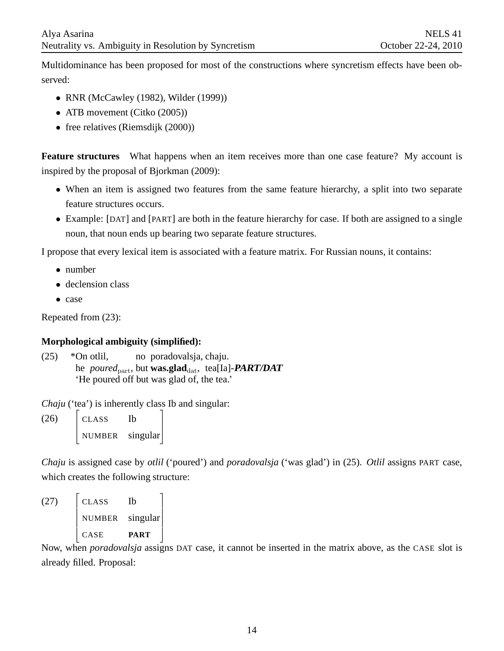Multidominance has been proposed for most of the constructions where syncretism effects have been observed:

- RNR (McCawley (1982), Wilder (1999))
- ATB movement (Citko (2005))
- free relatives (Riemsdijk (2000))

**Feature structures** What happens when an item receives more than one case feature? My account is inspired by the proposal of Bjorkman (2009):

- When an item is assigned two features from the same feature hierarchy, a split into two separate feature structures occurs.
- Example: [DAT] and [PART] are both in the feature hierarchy for case. If both are assigned to a single noun, that noun ends up bearing two separate feature structures.

I propose that every lexical item is associated with a feature matrix. For Russian nouns, it contains:

- number
- declension class
- case

Repeated from (23):

#### **Morphological ambiguity (simplified):**

 $(25)$ he poured<sub>part</sub>, but **was.glad**<sub>dat</sub>, tea[Ia]-**PART/DAT** \*On otlil, no poradovalsja, chaju. 'He poured off but was glad of, the tea.'

*Chaju* ('tea') is inherently class Ib and singular:

(26)  $\overline{1}$  $\overline{1}$ CLASS Ib NUMBER singular 1

*Chaju* is assigned case by *otlil* ('poured') and *poradovalsja* ('was glad') in (25). *Otlil* assigns PART case, which creates the following structure:

(27)  $\overline{1}$  $\overline{1}$  $\overline{1}$  $\overline{1}$  $\overline{1}$  $CLASS$ NUMBER singular CASE **PART** 1  $\overline{\phantom{a}}$ 

Now, when *poradovalsja* assigns DAT case, it cannot be inserted in the matrix above, as the CASE slot is already filled. Proposal: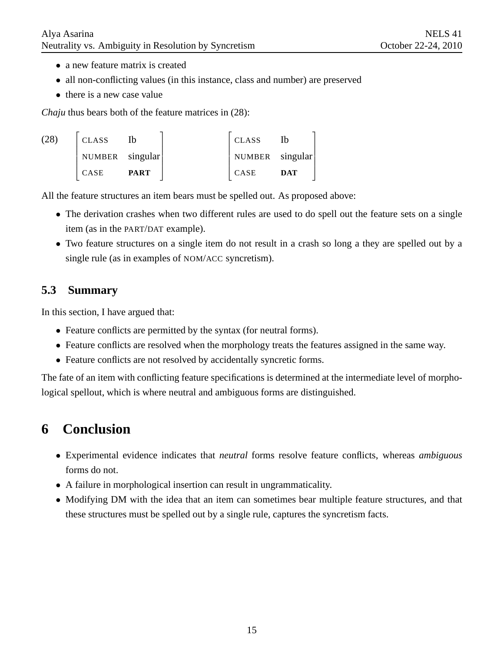- a new feature matrix is created
- all non-conflicting values (in this instance, class and number) are preserved
- there is a new case value

*Chaju* thus bears both of the feature matrices in (28):

| <b>CLASS</b>    | Ib          | <b>CLASS</b>    | Ib         |
|-----------------|-------------|-----------------|------------|
| NUMBER singular |             | NUMBER singular |            |
| CASE            | <b>PART</b> | CASE            | <b>DAT</b> |

All the feature structures an item bears must be spelled out. As proposed above:

- The derivation crashes when two different rules are used to do spell out the feature sets on a single item (as in the PART/DAT example).
- Two feature structures on a single item do not result in a crash so long a they are spelled out by a single rule (as in examples of NOM/ACC syncretism).

# **5.3 Summary**

In this section, I have argued that:

- Feature conflicts are permitted by the syntax (for neutral forms).
- Feature conflicts are resolved when the morphology treats the features assigned in the same way.
- Feature conflicts are not resolved by accidentally syncretic forms.

The fate of an item with conflicting feature specifications is determined at the intermediate level of morphological spellout, which is where neutral and ambiguous forms are distinguished.

# **6 Conclusion**

- Experimental evidence indicates that *neutral* forms resolve feature conflicts, whereas *ambiguous* forms do not.
- A failure in morphological insertion can result in ungrammaticality.
- Modifying DM with the idea that an item can sometimes bear multiple feature structures, and that these structures must be spelled out by a single rule, captures the syncretism facts.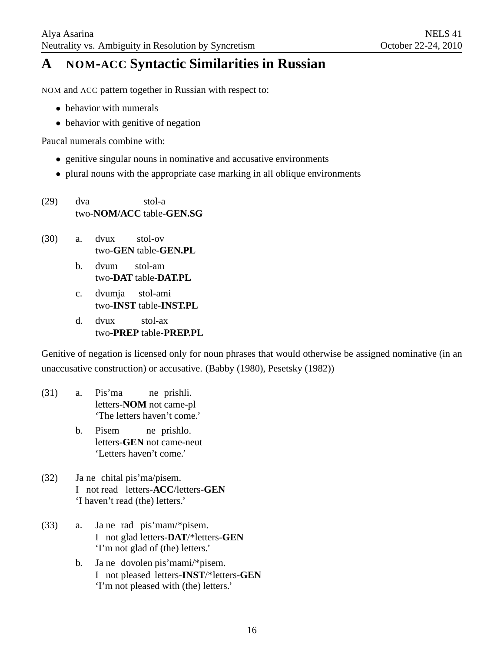# **A NOM-ACC Syntactic Similarities in Russian**

NOM and ACC pattern together in Russian with respect to:

- behavior with numerals
- behavior with genitive of negation

Paucal numerals combine with:

- genitive singular nouns in nominative and accusative environments
- plural nouns with the appropriate case marking in all oblique environments
- (29) dva two-**NOM/ACC** table-**GEN.SG** stol-a
- (30) a. dvux two-**GEN** table-**GEN.PL** stol-ov
	- b. dvum two-**DAT** table-**DAT.PL** stol-am
	- c. dvumja two-**INST** table-**INST.PL** stol-ami
	- d. dvux two-**PREP** table-**PREP.PL** stol-ax

Genitive of negation is licensed only for noun phrases that would otherwise be assigned nominative (in an unaccusative construction) or accusative. (Babby (1980), Pesetsky (1982))

- (31) a. Pis'ma letters-**NOM** not came-pl ne prishli. 'The letters haven't come.'
	- b. Pisem letters-**GEN** not came-neut ne prishlo. 'Letters haven't come.'
- $(32)$ I not read letters-**ACC**/letters-**GEN** ne chital pis'ma/pisem. 'I haven't read (the) letters.'
- $(33)$  a. I not glad letters-**DAT**/\*letters-**GEN** ne rad pis'mam/\*pisem. 'I'm not glad of (the) letters.'
	- b. Ja ne dovolen pis'mami/\*pisem. I not pleased letters-**INST**/\*letters-**GEN** 'I'm not pleased with (the) letters.'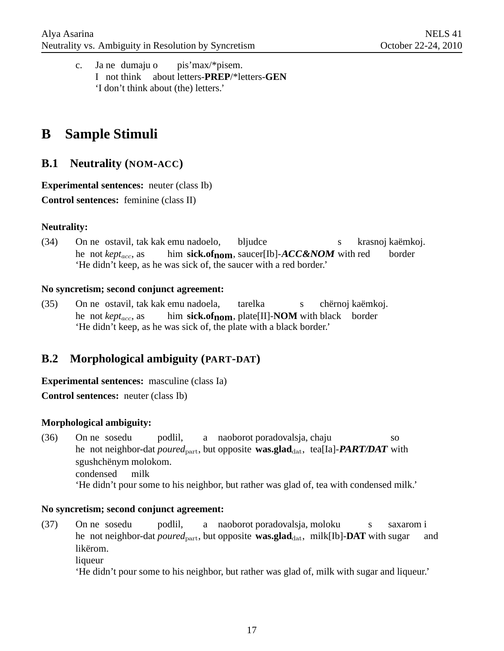c. Ja ne dumaju o I not think about letters-**PREP**/\*letters-**GEN** pis'max/\*pisem. 'I don't think about (the) letters.'

# **B Sample Stimuli**

### **B.1 Neutrality (NOM-ACC)**

**Experimental sentences:** neuter (class Ib) **Control sentences:** feminine (class II)

#### **Neutrality:**

 $(34)$ he not *kept<sub>acc</sub>*, as ne ostavil, tak kak emu nadoelo, him **sick.ofnom**, saucer[Ib]-**ACC&NOM** with red bljudce s krasnoj kaëmkoj. border 'He didn't keep, as he was sick of, the saucer with a red border.'

#### **No syncretism; second conjunct agreement:**

 $(35)$ he not *kept<sub>acc</sub>*, as ne ostavil, tak kak emu nadoela, him sick.of<sub>nom</sub>, plate[II]-NOM with black border tarelka s chërnoj kaëmkoj. 'He didn't keep, as he was sick of, the plate with a black border.'

# **B.2 Morphological ambiguity (PART-DAT)**

**Experimental sentences:** masculine (class Ia)

**Control sentences:** neuter (class Ib)

#### **Morphological ambiguity:**

 $(36)$ he not neighbor-dat *poured*<sub>part</sub>, but opposite **was.glad**<sub>dat</sub>, tea[Ia]-**PART/DAT** with ne sosedu podlil, a naoborot poradovalsja, chaju so sgushchënym molokom. condensed milk 'He didn't pour some to his neighbor, but rather was glad of, tea with condensed milk.'

#### **No syncretism; second conjunct agreement:**

- $(37)$ he not neighbor-dat *poured*<sub>part</sub>, but opposite **was.glad**<sub>dat</sub>, milk[Ib]-**DAT** with sugar ne sosedu podlil, a naoborot poradovalsja, moloku s saxarom i and likërom.
	- liqueur

'He didn't pour some to his neighbor, but rather was glad of, milk with sugar and liqueur.'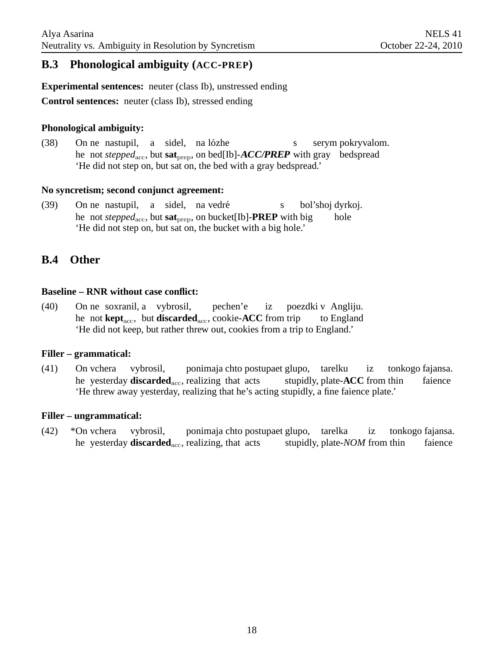### **B.3 Phonological ambiguity (ACC-PREP)**

**Experimental sentences:** neuter (class Ib), unstressed ending

**Control sentences:** neuter (class Ib), stressed ending

#### **Phonological ambiguity:**

 $(38)$ he not *stepped*<sub>acc</sub>, but **sat**<sub>prep</sub>, on bed[Ib]-**ACC/PREP** with gray bedspread ne nastupil, a sidel, na lózhe s serym pokryvalom. 'He did not step on, but sat on, the bed with a gray bedspread.'

#### **No syncretism; second conjunct agreement:**

 $(39)$ he not *stepped*<sub>acc</sub>, but **sat**<sub>prep</sub>, on bucket[Ib]-**PREP** with big ne nastupil, a sidel, na vedré s bol'shoj dyrkoj. hole 'He did not step on, but sat on, the bucket with a big hole.'

### **B.4 Other**

#### **Baseline – RNR without case conflict:**

 $(40)$ he not **kept**<sub>acc</sub>, but **discarded**<sub>acc</sub>, cookie-**ACC** from trip ne soxranil, a vybrosil, pechen'e iz poezdki v Angliju. to England 'He did not keep, but rather threw out, cookies from a trip to England.'

#### **Filler – grammatical:**

 $(41)$ he yesterday **discarded**<sub>acc</sub>, realizing that acts On vchera vybrosil, ponimaja chto postupaet glupo, tarelku stupidly, plate-**ACC** from thin iz tonkogo fajansa. faience 'He threw away yesterday, realizing that he's acting stupidly, a fine faience plate.'

#### **Filler – ungrammatical:**

 $(42)$ he yesterday **discarded**<sub>acc</sub>, realizing, that acts \*On vchera vybrosil, ponimaja chto postupaet glupo, tarelka stupidly, plate-*NOM* from thin iz tonkogo fajansa. faience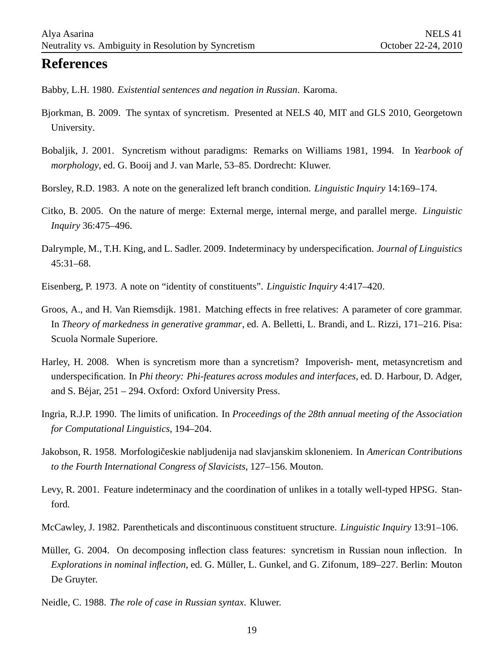# **References**

Babby, L.H. 1980. *Existential sentences and negation in Russian*. Karoma.

- Bjorkman, B. 2009. The syntax of syncretism. Presented at NELS 40, MIT and GLS 2010, Georgetown University.
- Bobaljik, J. 2001. Syncretism without paradigms: Remarks on Williams 1981, 1994. In *Yearbook of morphology*, ed. G. Booij and J. van Marle, 53–85. Dordrecht: Kluwer.
- Borsley, R.D. 1983. A note on the generalized left branch condition. *Linguistic Inquiry* 14:169–174.
- Citko, B. 2005. On the nature of merge: External merge, internal merge, and parallel merge. *Linguistic Inquiry* 36:475–496.
- Dalrymple, M., T.H. King, and L. Sadler. 2009. Indeterminacy by underspecification. *Journal of Linguistics* 45:31–68.
- Eisenberg, P. 1973. A note on "identity of constituents". *Linguistic Inquiry* 4:417–420.
- Groos, A., and H. Van Riemsdijk. 1981. Matching effects in free relatives: A parameter of core grammar. In *Theory of markedness in generative grammar*, ed. A. Belletti, L. Brandi, and L. Rizzi, 171–216. Pisa: Scuola Normale Superiore.
- Harley, H. 2008. When is syncretism more than a syncretism? Impoverish- ment, metasyncretism and underspecification. In *Phi theory: Phi-features across modules and interfaces*, ed. D. Harbour, D. Adger, and S. Béjar,  $251 - 294$ . Oxford: Oxford University Press.
- Ingria, R.J.P. 1990. The limits of unification. In *Proceedings of the 28th annual meeting of the Association for Computational Linguistics*, 194–204.
- Jakobson, R. 1958. Morfologičeskie nabljudenija nad slavjanskim skloneniem. In *American Contributions to the Fourth International Congress of Slavicists*, 127–156. Mouton.
- Levy, R. 2001. Feature indeterminacy and the coordination of unlikes in a totally well-typed HPSG. Stanford.
- McCawley, J. 1982. Parentheticals and discontinuous constituent structure. *Linguistic Inquiry* 13:91–106.
- Müller, G. 2004. On decomposing inflection class features: syncretism in Russian noun inflection. In *Explorations in nominal inflection*, ed. G. Müller, L. Gunkel, and G. Zifonum, 189–227. Berlin: Mouton De Gruyter.
- Neidle, C. 1988. *The role of case in Russian syntax*. Kluwer.